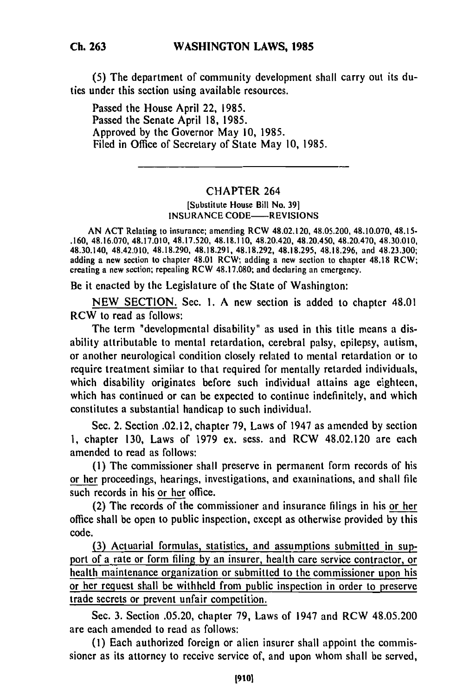**(5)** The department of community development shall carry out its duties under this section using available resources.

Passed the House April 22, 1985. Passed the Senate April 18, 1985. Approved by the Governor May 10, 1985. Filed in Office of Secretary of State May 10, 1985.

## CHAPTER 264

[Substitute House Bill No. **391** INSURANCE CODE——REVISIONS

AN ACT Relating to insurance; amending RCW 48.02.120, 48.05.200, 48.10.070, 48.15- .160, 48.16.070, 48.17.010, 48.17.520, 48.18.110, 48.20.420, 48.20.450, 48.20.470, 48.30.010, 48.30.140, 48.42.010, 48.18.290, 48.18.291, 48.18.292, 48.18.295, 48.18.296, and 48.23.300; adding a new section to chapter 48.01 RCW; adding a new section to chapter 48.18 RCW; creating a new section; repealing RCW 48.17.080; and declaring an emergency.

Be it enacted by the Legislature of the State of Washington:

NEW SECTION. Sec. 1. A new section is added to chapter 48.01 RCW to read as follows:

The term "developmental disability" as used in this title means a disability attributable to mental retardation, cerebral palsy, epilepsy, autism, or another neurological condition closely related to mental retardation or to require treatment similar to that required for mentally retarded individuals, which disability originates before such individual attains age eighteen, which has continued or can be expected to continue indefinitely, and which constitutes a substantial handicap to such individual.

Sec. 2. Section .02.12, chapter 79, Laws of 1947 as amended by section 1, chapter 130, Laws of 1979 ex. sess. and RCW 48.02.120 are each amended to read as follows:

**(1)** The commissioner shall preserve in permanent form records of his or her proceedings, hearings, investigations, and examinations, and shall file such records in his or her office.

(2) The records of the commissioner and insurance filings in his or her office shall be open to public inspection, except as otherwise provided by this code.

**(3)** Actuarial formulas, statistics, and assumptions submitted in support of a rate or form filing **by** an insurer, health care service contractor, or health maintenance organization or submitted to the commissioner upon his or her request shall be withheld from public inspection in order to preserve trade secrets or prevent unfair competition.

Sec. 3. Section .05.20, chapter 79, Laws of 1947 and RCW 48.05.200 are each amended to read as follows:

(I) Each authorized foreign or alien insurer shall appoint the commissioner as its attorney to receive service of, and upon whom shall be served,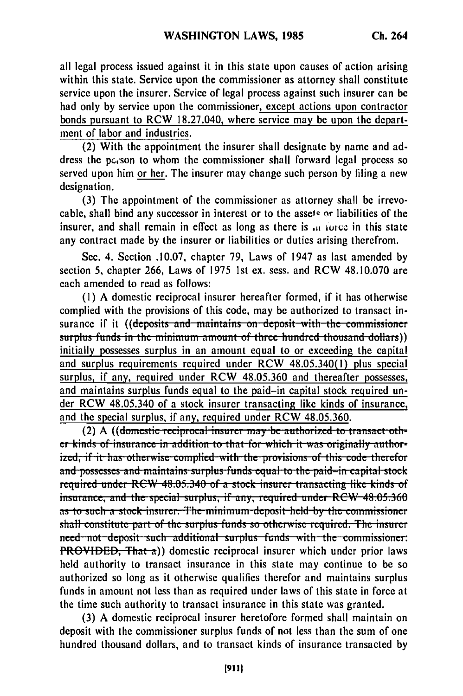all legal process issued against it in this state upon causes of action arising within this state. Service upon the commissioner as attorney shall constitute service upon the insurer. Service of legal process against such insurer can be had only **by** service upon the commissioner, except actions upon contractor bonds pursuant to RCW **18.27.040,** where service may be upon the department of labor and industries.

(2) With the appointment the insurer shall designate **by** name and address the pc,son to whom the commissioner shall forward legal process so served upon him or her. The insurer may change such person **by** filing a new designation.

**(3)** The appointment of the commissioner as attorney shall be irrevocable, shall bind any successor in interest or to the assets or liabilities of the insurer, and shall remain in effect as long as there is in force in this state any contract made **by** the insurer or liabilities or duties arising therefrom.

Sec. 4. Section **.10.07,** chapter **79,** Laws of 1947 as last amended **by** section **5,** chapter **266,** Laws of **1975 1st** ex. sess. and RCW **48.10.070** are each amended to read as follows:

**(1) A** domestic reciprocal insurer hereafter formed, if it has otherwise complied with the provisions of this code, may be authorized to transact insurance if it ((deposits and maintains on deposit with the commissioner surplus funds in the minimum amount of three hundred thousand dollars)) initially possesses surplus in an amount equal to or exceeding the capital and surplus requirements required under RCW 48.05.340(1) plus special surplus, if any, required under RCW 48.05.360 and thereafter possesses, and maintains surplus funds equal to the paid-in capital stock required under RCW 48.05.340 of a stock insurer transacting like kinds of insurance, and the special surplus, if any, required under RCW 48.05.360.

(2) A ((domestic reciprocal insurer may be authorized to transact oth**er kinds of insurance in addition to that for which it was originally author-** ized, if it has otherwise complied with the provisions of this code therefor and possesses and maintains surplus funds equal to the paid-in capital stock<br>required under RCW 48.05.340 of a stock insurer transacting like kinds of **insurance, and the special surplus, if any, required under RCW 48.05.360** as to such a stock insurer. The minimum deposit held by the commissioner **shall constitute part of the surplus funds so otherwise required. The insurer need not deposit such additional surplus funds with the commissioner:** PROVIDED, That a)) domestic reciprocal insurer which under prior laws held authority to transact insurance in this state may continue to be so authorized so long as it otherwise qualifies therefor and maintains surplus funds in amount not less than as required under laws of this state in force at the time such authority to transact insurance in this state was granted.

(3) A domestic reciprocal insurer heretofore formed shall maintain on deposit with the commissioner surplus funds of not less than the sum of one hundred thousand dollars, and to transact kinds of insurance transacted by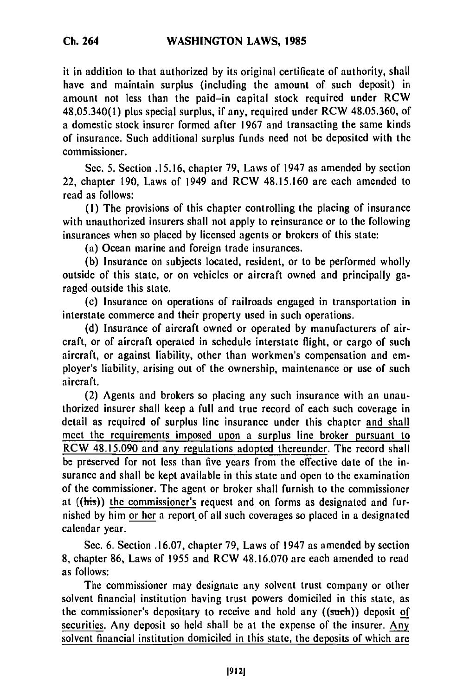it in addition to that authorized **by** its original certificate of authority, shall have and maintain surplus (including the amount of such deposit) in amount not less than the paid-in capital stock required under RCW 48.05.340(1) plus special surplus, if any, required under RCW **48.05.360,** of a domestic stock insurer formed after **1967** and transacting the same kinds of insurance. Such additional surplus funds need not be deposited with the commissioner.

See. **5.** Section **.15.16,** chapter **79,** Laws of 1947 as amended **by** section 22, chapter **190,** Laws of 1949 and RCW **48.15.160** are each amended to read as follows:

**(1)** The provisions of this chapter controlling the placing of insurance with unauthorized insurers shall not apply to reinsurance or to the following insurances when so placed **by** licensed agents or brokers of this state:

(a) Ocean marine and foreign trade insurances.

**(b)** Insurance on subjects located, resident, or to be performed wholly outside of this state, or on vehicles or aircraft owned and principally garaged outside this state.

(c) Insurance on operations of railroads engaged in transportation in interstate commerce and their property used in such operations.

**(d)** Insurance of aircraft owned or operated **by** manufacturers of aircraft, or of aircraft operated in schedule interstate flight, or cargo of such aircraft, or against liability, other than workmen's compensation and employer's liability, arising out of the ownership, maintenance or use of such aircraft.

(2) Agents and brokers so placing any such insurance with an unauthorized insurer shall keep a full and true record of each such coverage in detail as required of surplus line insurance under this chapter and shall meet the requirements imposed upon a surplus line broker pursuant to RCW **48.15.090** and any regulations adopted thereunder. The record shall **be** preserved for not less than five years from the effective date of the insurance and shall be kept available in this state and open to the examination of the commissioner. The agent or broker shall furnish to the commissioner at  $((\overline{\text{his}}))$  the commissioner's request and on forms as designated and furnished **by** him or her a report of all such coverages so placed in a designated calendar year.

Sec. **6.** Section **.16.07,** chapter **79,** Laws of 1947 as amended **by** section **8,** chapter **86,** Laws of **1955** and RCW **48.16.070 are** each amended to read as follows:

The commissioner may designate any solvent trust company or other solvent financial institution having trust powers domiciled in this state, as the commissioner's depositary to receive and hold any ((such)) deposit of securities. Any deposit so **held** shall **be** at the expense of the insurer. Any solvent financial institution domiciled in this state, the deposits of which are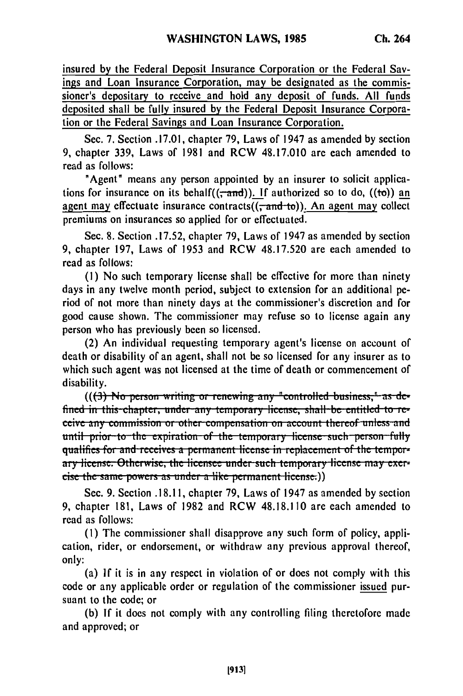insured by the Federal Deposit Insurance Corporation or the Federal Savings and Loan Insurance Corporation, may be designated as the commissioner's depositary to receive and hold any deposit of funds. All funds deposited shall be fully insured by the Federal Deposit Insurance Corporation or the Federal Savings and Loan Insurance Corporation.

Sec. 7. Section .17.01, chapter 79, Laws of 1947 as amended by section 9. chapter 339. Laws of 1981 and RCW 48.17.010 are each amended to read as follows:

"Agent" means any person appointed by an insurer to solicit applications for insurance on its behalf( $(\tau$ and)). If authorized so to do,  $((\tau$ )) an agent may effectuate insurance contracts $((\overline{-}and\overline{-}to))$ . An agent may collect premiums on insurances so applied for or effectuated.

Sec. 8. Section .17.52, chapter 79, Laws of 1947 as amended by section 9, chapter 197, Laws of 1953 and RCW 48.17.520 are each amended to read as follows:

(1) No such temporary license shall be effective for more than ninety days in any twelve month period, subject to extension for an additional period of not more than ninety days at the commissioner's discretion and for good cause shown. The commissioner may refuse so to license again any person who has previously been so licensed.

(2) An individual requesting temporary agent's license on account of death or disability of an agent, shall not be so licensed for any insurer as to which such agent was not licensed at the time of death or commencement of disability.

 $((3)$  No person writing or renewing any "controlled business," as defined in this chapter, under any temporary license, shall be entitled to receive any commission or other compensation on account thereof unless and until prior to the expiration of the temporary license such person fully qualifies for and receives a permanent license in replacement of the temporary license. Otherwise, the licensee under such temporary license may exercise the same powers as under a like permanent license.)

Sec. 9. Section .18.11, chapter 79, Laws of 1947 as amended by section 9. chapter 181, Laws of 1982 and RCW 48.18.110 are each amended to read as follows:

(1) The commissioner shall disapprove any such form of policy, application, rider, or endorsement, or withdraw any previous approval thereof, only:

(a) If it is in any respect in violation of or does not comply with this code or any applicable order or regulation of the commissioner issued pursuant to the code: or

(b) If it does not comply with any controlling filing theretofore made and approved; or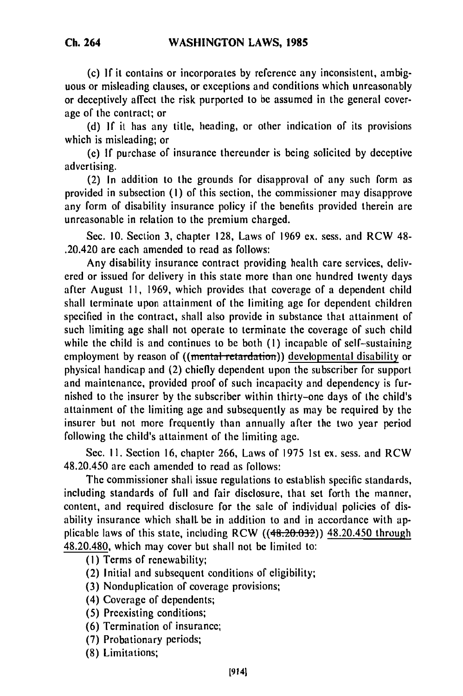**(c)** If it contains or incorporates by reference any inconsistent, ambiguous or misleading clauses, or exceptions and conditions which unreasonably or deceptively affect the risk purported to be assumed in the general coverage of the contract; or

(d) If it has any title, heading, or other indication of its provisions which is misleading; or

(e) If purchase of insurance thereunder is being solicited by deceptive advertising.

(2) In addition to the grounds for disapproval of any such form as provided in subsection (I) of this section, the commissioner may disapprove any form of disability insurance policy if the benefits provided therein are unreasonable in relation to the premium charged.

Sec. 10. Section 3, chapter 128, Laws of 1969 ex. sess. and RCW 48- .20.420 are each amended to read as follows:

Any disability insurance contract providing health care services, delivered or issued for delivery in this state more than one hundred twenty days after August II, 1969, which provides that coverage of a dependent child shall terminate upon attainment of the limiting age for dependent children specified in the contract, shall also provide in substance that attainment of such limiting age shall not operate to terminate the coverage of such child while the child is and continues to be both (1) incapable of self-sustaining employment by reason of ((mental retardation)) developmental disability or physical handicap and (2) chiefly dependent upon the subscriber for support and maintenance, provided proof of such incapacity and dependency is furnished to the insurer by the subscriber within thirty-one days of the child's attainment of the limiting age and subsequently as may be required by the insurer but not more frequently than annually after the two year period following the child's attainment of the limiting age.

Sec. II. Section 16, chapter 266, Laws of 1975 1st ex. sess. and RCW 48.20.450 are each amended to read as follows:

The commissioner shall issue regulations to establish specific standards, including standards of full and fair disclosure, that set forth the manner, content, and required disclosure for the sale of individual policies of disability insurance which shall be in addition to and in accordance with applicable laws of this state, including RCW ((48.20.032)) 48.20.450 through 48.20.480, which may cover but shall not be limited to:

(I) Terms of renewability;

(2) Initial and subsequent conditions of eligibility;

(3) Nonduplication of coverage provisions;

- (4) Coverage of dependents;
- (5) Preexisting conditions;
- (6) Termination of insurance;
- (7) Probationary periods;
- (8) Limitations;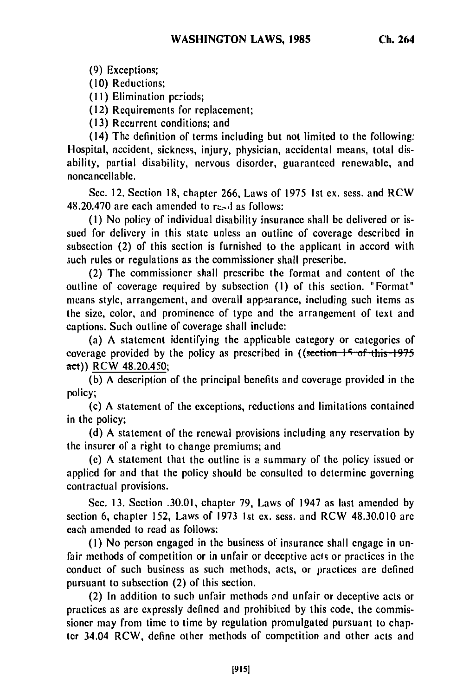**(9)** Exceptions;

(10) Reductions;

**(II)** Elimination periods;

(12) Requirements for replacement;

(13) Recurrent conditions; and

(14) The definition of terms including but not limited to the following: Hospital, accident, sickness, injury, physician, accidental means, total disability, partial disability, nervous disorder, guaranteed renewable, and noncancellable.

Sec. 12. Section 18, chapter 266, Laws of 1975 1st ex. sess. and RCW  $48.20.470$  are each amended to read as follows:

(I) No policy of individual disability insurance shall be delivered or issued for delivery in this state unless an outline of coverage described in subsection (2) of this section is furnished to the applicant in accord with such rules or regulations as the commissioner shall prescribe.

(2) The commissioner shall prescribe the format and content of the outline of coverage required by subsection (I) of this section. "Format" means style, arrangement, and overall appearance, including such items as the size, color, and prominence of type and the arrangement of text and captions. Such outline of coverage shall include:

(a) A statement identifying the applicable category or categories of coverage provided by the policy as prescribed in ((section 15 of this 1975) act)) RCW 48.20.450;

(b) A description of the principal benefits and coverage provided in the policy;

(c) A statement of the exceptions, reductions and limitations contained in the policy;

(d) A statement of the renewal provisions including any reservation by the insurer of a right to change premiums; and

(e) A statement that the outline is a summary of the policy issued or applied for and that the policy should be consulted to determine governing contractual provisions.

Sec. 13. Section .30.01, chapter 79, Laws of 1947 as last amended by section 6, chapter 152, Laws of 1973 1st ex. sess. and RCW 48.30.010 arc each amended to read as follows:

(I) No person engaged in the business of insurance shall engage in unfair methods of competition or in unfair or deceptive acts or practices in the conduct of such business as such methods, acts, or practices are defined pursuant to subsection (2) of this section.

(2) In addition to such unfair methods ond unfair or deceptive acts or practices as are expressly defined and prohibited by this code, the commissioner may from time to time by regulation promulgated pursuant to chapter 34.04 RCW, define other methods of competition and other acts and

**Ch. 264**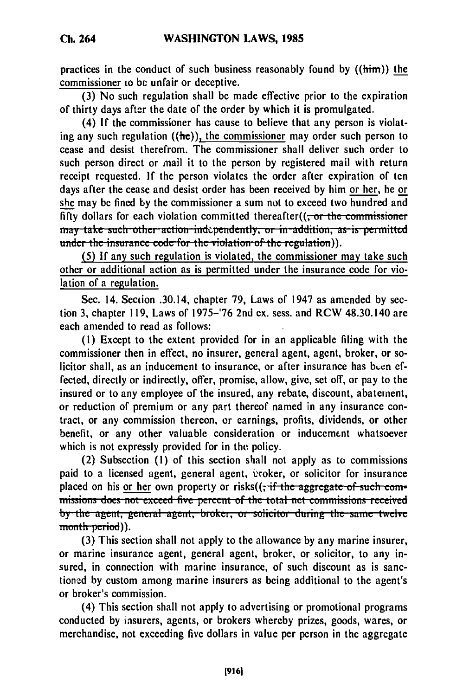practices in the conduct of such business reasonably found **by** ((him)) the commissioner to be unfair or deceptive.

**(3)** No such regulation shall **be** made effective prior to the expiration of thirty days after the date of the order **by** which it is promulgated.

(4) If the commissioner has cause to believe that any person is violating any such regulation  $((he))$ , the commissioner may order such person to cease and desist therefrom. The commissioner shall deliver such order to such person direct or ,mail it to the person **by** registered mail with return receipt requested. **If** the person violates the order after expiration of ten days after the cease and desist order has been received **by** him or her, he or she may be fined **by** the commissioner a sum not to exceed two hundred and fifty dollars for each violation committed thereafter((<del>, or the commissioner</del>) may take such other action independently, or in addition, as is permitted under the insurance code for the violation of the regulation)).

**(5) If** any such regulation is violated, the commissioner may take such other or additional action as is permitted under the insurance code for violation of a regulation.

Sec. 14. Section .30.14, chapter **79,** Laws of 1947 as amended **by** section 3, chapter **119,** Laws of **1975-'76** 2nd ex. sess. and RCW 48.30.140 are each amended to read as follows:

**(1)** Except to the extent provided for in an applicable filing with the commissioner then in effect, no insurer, general agent, agent, broker, or solicitor shall, as an inducement to insurance, or after insurance has been effected, directly or indirectly, offer, promise, allow, give, set off, or pay to the insured or to any employee of the insured, any rebate, discount, abatement, or reduction **of** premium or any part thereof named in any insurance contract, or any commission thereon, or earnings, profits, dividends, or other benefit, or any other valuable consideration or inducement whatsoever which is not expressly provided for in the policy.

(2) Subsection **(I) of** this section shall not apply as to commissions paid to a licensed agent, general agent, evoker, or solicitor for insurance placed on his or her own property or risks( $(\cdot, \cdot)$  if the aggregate of such commissions does not exceed five percent of the total net commissions received **by the agent, general agent, broker, or solicitor during the same twelve** month period)).

**(3)** This section shall not apply to the allowance **by** any marine insurer, or marine insurance agent, general agent, broker, or solicitor, to any insured, in connection with marine insurance, of such discount as is sanction-ed **by** custom among marine insurers as being additional to the agent's or broker's commission.

(4) This section shall not apply to advertising or promotional programs conducted **by** insurers, agents, or brokers whereby prizes, goods, wares, or merchandise, not exceeding five dollars in value per person in the aggregate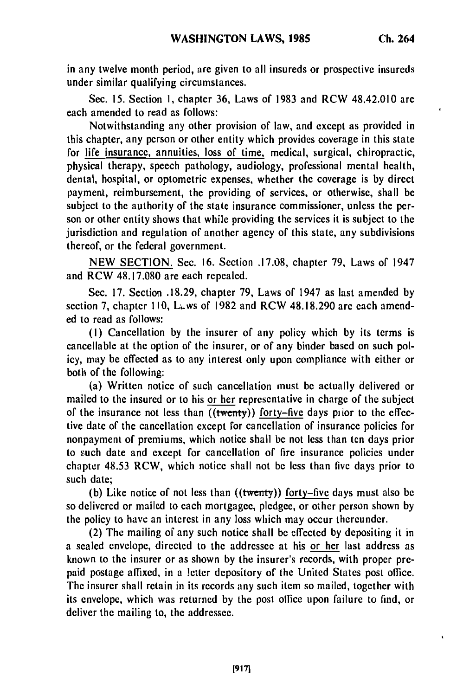in any twelve month period, are given to all insureds or prospective insureds under similar qualifying circumstances.

Sec. **15.** Section **1,** chapter **36,** Laws of **1983** and RCW 48.42.010 are each amended to read as follows:

Notwithstanding any other provision of law, and except as provided in this chapter, any person or other entity which provides coverage in this state for life insurance, annuities, loss of time, medical, surgical, chiropractic, physical therapy, speech pathology, audiology, professional mental health, dental, hospital, or optometric expenses, whether the coverage is **by** direct payment, reimbursement, the providing of services, or otherwise, shall be subject to the authority of the state insurance commissioner, unless the person or other entity shows that while providing the services it is subject to the jurisdiction and regulation of another agency of this state, any subdivisions thereof, or the federal government.

**NEW SECTION.** Sec. **16.** Section **.17.08,** chapter **79,** Laws of 1947 and RCW **48.17.080** are each repealed.

Sec. **17.** Section **.18.29,** chapter **79,** Laws of 1947 as last amended **by** section **7,** chapter **110,** Lws of **1982** and RCW **48.18.290** are each amended to read as follows:

**(I)** Cancellation **by** the insurer of any policy which **by** its terms is cancellable at the option of the insurer, or of any binder based on such policy, may be effected as to any interest only upon compliance with either or both of the following:

(a) Written notice of such cancellation must **be** actually delivered or mailed to the insured or to his or her representative in charge of the subject of the insurance not less than  $((\text{twenty}))$  forty-five days prior to the effective date of the cancellation except for cancellation of insurance policies for nonpayment of premiums, which notice shall **be** not less than ten days prior to &uch date and except for cancellation of fire insurance policies under chapter **48.53** RCW, which notice shall not **be** less than five days prior to such date;

**(b)** Like notice of not less than ((twenty)) forty-five days must also **be** so delivered or mailed to each mortgagee, pledgee, or other person shown **by** the policy to have an interest in any loss which may occur thereunder.

(2) The mailing of any such notice shall be effected by depositing it in a sealed envelope, directed to the addressee at his or her last address as known to the insurer or as shown by the insurer's records, with proper prepaid postage affixed, in a letter depository of the United States post office. The insurer shall retain in its records any such item so mailed, together with its envelope, which was returned by the post office upon failure to find, or deliver the mailing to, the addressee.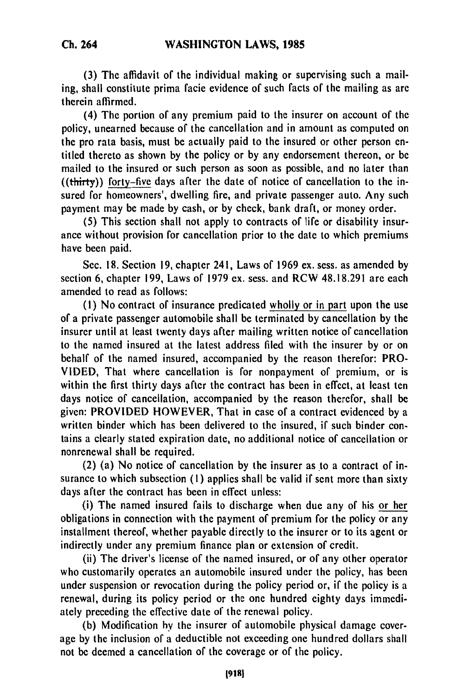**(3)** The affidavit of the individual making or supervising such a mailing, shall constitute prima facie evidence of such facts of the mailing as are therein affirmed.

(4) The portion of any premium paid to the insurer on account of the policy, unearned because of the cancellation and in amount as computed on the pro rata basis, must be actually paid to the insured or other person entitled thereto as shown by the policy or by any endorsement thereon, or be mailed to the insured or such person as soon as possible, and no later than ((thirty)) forty-five days after the date of notice of cancellation to the insured for homeowners', dwelling fire, and private passenger auto. Any such payment may be made by cash, or by check, bank draft, or money order.

(5) This section shall not apply to contracts of life or disability insurance without provision for cancellation prior to the date to which premiums have been paid.

Sec. 18. Section 19, chapter 241, Laws of 1969 ex. sess. as amended by section 6, chapter 199, Laws of 1979 ex. sess. and RCW 48.18.291 are each amended to read as follows:

**(1)** No contract of insurance predicated wholly or in part upon the use of a private passenger automobile shall be terminated by cancellation by the insurer until at least twenty days after mailing written notice of cancellation to the named insured at the latest address filed with the insurer by or on behalf of the named insured, accompanied by the reason therefor: PRO-VIDED, That where cancellation is for nonpayment of premium, or is within the first thirty days after the contract has been in effect, at least ten days notice of cancellation, accompanied by the reason therefor, shall be given: PROVIDED HOWEVER, That in case of a contract evidenced by a written binder which has been delivered to the insured, if such binder contains a clearly stated expiration date, no additional notice of cancellation or nonrenewal shall be required.

(2) (a) No notice of cancellation by the insurer as to a contract of insurance to which subsection **(1)** applies shall be valid if sent more than sixty days after the contract has been in effect unless:

(i) The named insured fails to discharge when due any of his or her obligations in connection with the payment of premium for the policy or any installment thereof, whether payable directly to the insurer or to its agent or indirectly under any premium finance plan or extension of credit.

(ii) The driver's license of the named insured, or of any other operator who customarily operates an automobile insured under the policy, has been under suspension or revocation during the policy period or, if the policy is a renewal, during its policy period or the one hundred eighty days immediately preceding the effective date of the renewal policy.

(b) Modification by the insurer of automobile physical damage coverage by the inclusion of a deductible not exceeding one hundred dollars shall not be deemed a cancellation of the coverage or of the policy.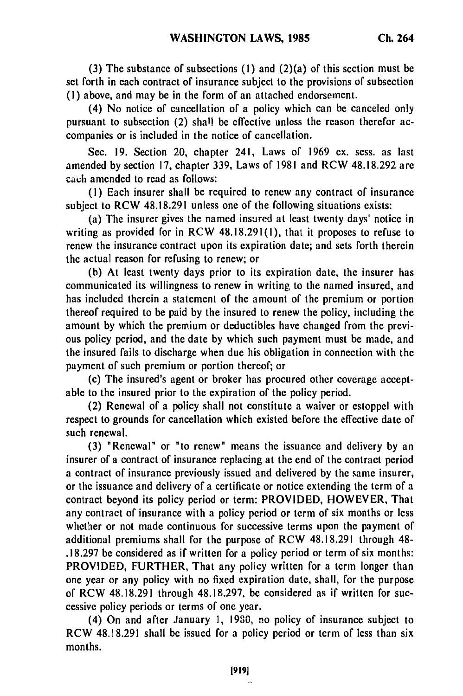**(3)** The substance of subsections **(I)** and (2)(a) of this section must be set forth in each contract of insurance subject to the provisions of subsection **(1)** above, and may be in the form of an attached endorsement.

(4) No notice of cancellation of a policy which can be canceled only pursuant to subsection (2) shall be effective unless the reason therefor accompanies or is included in the notice of cancellation.

Sec. **19.** Section 20, chapter 241, Laws of **1969 ex.** sess. as last amended **by** section **17,** chapter **339,** Laws of **1981** and RCW **48.18.292** are **each** amended to read as follows:

**(1)** Each insurer shall be required to renew any contract of insurance subject to RCW **48.18.291** unless one of the following situations exists:

(a) The insurer gives the named insured at least twenty days' notice in writing as provided for in RCW **48.18.291(1),** that it proposes to refuse to renew the insurance contract upon its expiration date; and sets forth therein the actual reason for refusing to renew; or

**(b)** At least twenty days prior to its expiration date, the insurer has communicated its willingness to renew in writing to the named insured, and has included therein a statement of the amount of the premium or portion thereof required to be paid **by** the insured to renew the policy, including the amount **by** which the premium or deductibles have changed from the previous policy period, and the date **by** which such payment must be made, and the insured fails to discharge when due his obligation in connection with the payment of such premium or portion thereof; or

(c) The insured's agent or broker has procured other coverage acceptable to the insured prior to the expiration of the policy period.

(2) Renewal of a policy shall not constitute a waiver or estoppel with respect to grounds for cancellation which existed before the effective date of such renewal.

**(3)** "Renewal" or "to renew" means the issuance and delivery **by** an insurer of a contract of insurance replacing at the end of the contract period a contract of insurance previously issued and delivered **by** the same insurer, or the issuance and delivery of a certificate or notice extending the term of a contract beyond its policy period or term: PROVIDED, HOWEVER, That any contract of insurance with a policy period or term of six months or less whether or not made continuous for successive terms upon the payment of additional premiums shall for the purpose of RCW **48.18.291** through 48- **.18.297** be considered as if written for a policy period or term of six months: PROVIDED, FURTHER, That any policy written for a term longer than one year or any policy with no fixed expiration date, shall, for the purpose of RCW **48.18.291** through **48.18.297,** be considered as if written for successive policy periods or terms of one year.

(4) On and after January **1, 1980,** no policy of insurance subject to RCW **48.18.291** shall be issued for a policy period or term of less than six months.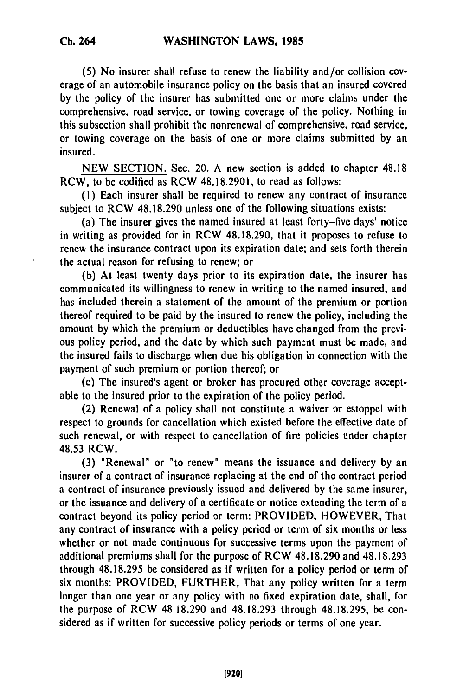**(5)** No insurer shall refuse to renew the liability and/or collision coverage of an automobile insurance policy on the basis that an insured covered **by** the policy of the insurer has submitted one or more claims under the comprehensive, road service, or towing coverage of the policy. Nothing in this subsection shall prohibit the nonrenewal of comprehensive, road service, or towing coverage on the basis of one or more claims submitted **by** an insured.

**NEW** SECTION. Sec. 20. A new section is added to chapter **48.18** RCW, to be codified as RCW 48.18.2901, to read as follows:

**(1)** Each insurer shall be required to renew any contract of insurance subject to RCW **48.18.290** unless one of the following situations exists:

(a) The insurer gives the named insured at least forty-five days' notice in writing as provided for in RCW **48.18.290,** that it proposes to refuse to renew the insurance contract upon its expiration date; and sets forth therein the actual reason for refusing to renew; or

**(b)** At least twenty days prior to its expiration date, the insurer has communicated its willingness to renew in writing to the named insured, and has included therein a statement of the amount of the premium or portion thereof required to be paid **by** the insured to renew the policy, including the amount **by** which the premium or deductibles have changed from the previous policy period, and the date **by** which such payment must be made, and the insured fails to discharge when due his obligation in connection with the payment of such premium or portion thereof; or

(c) The insured's agent or broker has procured other coverage acceptable to the insured prior to the expiration of the policy period.

(2) Renewal of a policy shall not constitute a waiver or estoppel with respect to grounds for cancellation which existed before the effective date of such renewal, or with respect to cancellation of fire policies under chapter 48.53 RCW.

(3) "Renewal" or "to renew" means the issuance and delivery by an insurer of a contract of insurance replacing at the end of the contract period a contract of insurance previously issued and delivered by the same insurer, or the issuance and delivery of a certificate or notice extending the term of a contract beyond its policy period or term: PROVIDED, HOWEVER, That any contract of insurance with a policy period or term of six months or less whether or not made continuous for successive terms upon the payment of additional premiums shall for the purpose of RCW 48.18.290 and 48.18.293 through 48.18.295 be considered as if written for a policy period or term of six months: PROVIDED, FURTHER, That any policy written for a term longer than one year or any policy with no fixed expiration date, shall, for the purpose of RCW 48.18.290 and 48.18.293 through 48.18.295, be considered as if written for successive policy periods or terms of one year.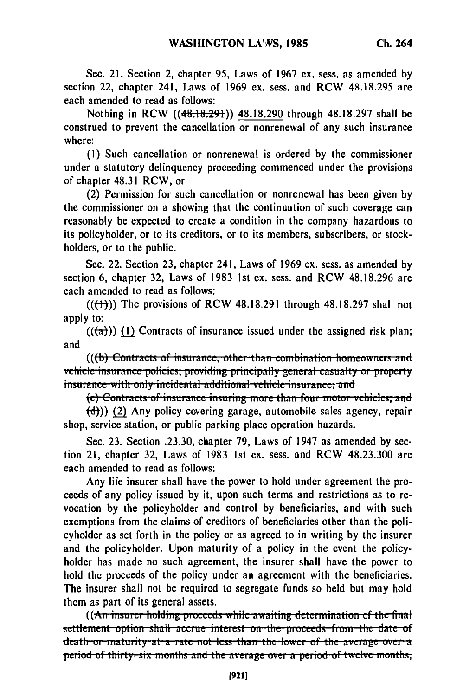Sec. 21. Section 2, chapter 95, Laws of 1967 ex. sess. as amended by section 22, chapter 241, Laws of 1969 ex. sess. and RCW 48.18.295 are each amended to read as follows:

Nothing in RCW ((48.18.291)) 48.18.290 through 48.18.297 shall be construed to prevent the cancellation or nonrenewal of any such insurance where:

(I) Such cancellation or nonrenewal is ordered by the commissioner under a statutory delinquency proceeding commenced under the provisions of chapter 48.31 RCW, or

(2) Permission for such cancellation or nonrenewal has been given by the commissioner on a showing that the continuation of such coverage can reasonably be expected to create a condition in the company hazardous to its policyholder, or to its creditors, or to its members, subscribers, or stockholders, or to the public.

Sec. 22. Section 23, chapter 241, Laws of 1969 ex. sess. as amended by section 6, chapter 32, Laws of 1983 Ist ex. sess. and RCW 48.18.296 are each amended to read as follows:

 $((\text{(+)})$ ) The provisions of RCW 48.18.291 through 48.18.297 shall not apply to:

 $((\overline{a}))(1)$  Contracts of insurance issued under the assigned risk plan; and

(((b) Contracts of insurance, other than combination homeowners and vehicle insurance policies, providing principally general casualty or property insurance with only incidental additional vehicle insurance; and<br>(c) Contracts of insurance insuring more than four motor vehicles; and

(d))) (2) Any policy covering garage, automobile sales agency, repair shop, service station, or public parking place operation hazards.

Sec. 23. Section .23.30, chapter 79, Laws of 1947 as amended by section 21, chapter 32, Laws of 1983 Ist ex. sess. and RCW 48.23.300 are each amended to read as follows:

Any life insurer shall have the power to hold under agreement the proceeds of any policy issued by it, upon such terms and restrictions as to revocation by the policyholder and control by beneficiaries, and with such exemptions from the claims of creditors of beneficiaries other than the policyholder as set forth in the policy or as agreed to in writing by the insurer and the policyholder. Upon maturity of a policy in the event the policyholder has made no such agreement, the insurer shall have the power to hold the proceeds of the policy under an agreement with the beneficiaries. The insurer shall not be required to segregate funds so held but may hold them as part of its general assets.

**((An insurer holding proceeds while awaiting determination of the final**  $set$ :**cttlement**-option shall accrue interest on the proceeds from the date of **death or maturity at a rate not less than the lower of the average over a period of thirty-six months and the average over a period of twelve months,**